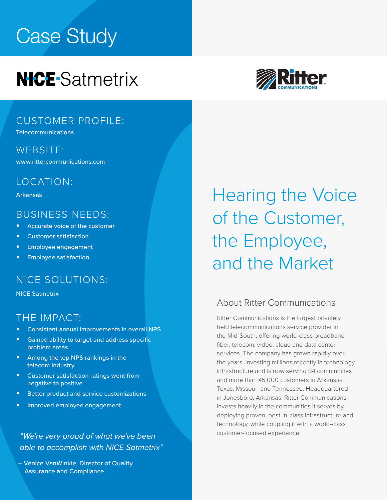# Case Study

# **NICE-Satmetrix**



#### CUSTOMER PROFILE:

**Telecommunications** 

WEBSITE: [www.rittercommunications.com](https://www.bobst.com/usen/)

### LOCATION:

Arkansas

#### BUSINESS NEEDS:

- **•** Accurate voice of the customer
- **•** Customer satisfaction
- **•** Employee engagement
- **•** Employee satisfaction

#### NICE SOLUTIONS:

NICE Satmetrix

#### THE IMPACT:

- **•** Consistent annual improvements in overall NPS
- **•** Gained ability to target and address specific problem areas
- **•** Among the top NPS rankings in the telecom industry
- **•** Customer satisfaction ratings went from negative to positive
- **•** Better product and service customizations
- **•** Improved employee engagement

customer-focused experience. *"We're very proud of what we've been able to accomplish with NICE Satmetrix"*

– Venice VanWinkle, Director of Quality Assurance and Compliance

Hearing the Voice of the Customer, the Employee, and the Market

#### About Ritter Communications

Ritter Communications is the largest privately held telecommunications service provider in the Mid-South, offering world-class broadband fiber, telecom, video, cloud and data center services. The company has grown rapidly over the years, investing millions recently in technology infrastructure and is now serving 94 communities and more than 45,000 customers in Arkansas, Texas, Missouri and Tennessee. Headquartered in Jonesboro, Arkansas, Ritter Communications invests heavily in the communities it serves by deploying proven, best-in-class infrastructure and technology, while coupling it with a world-class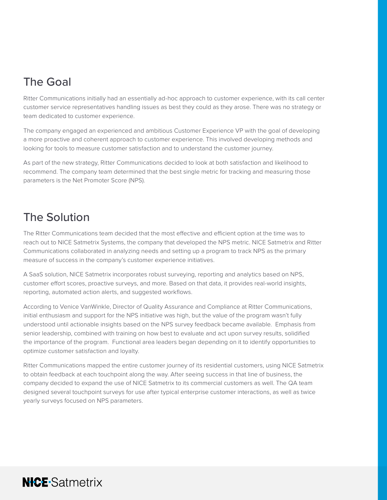# The Goal

Ritter Communications initially had an essentially ad-hoc approach to customer experience, with its call center customer service representatives handling issues as best they could as they arose. There was no strategy or team dedicated to customer experience.

The company engaged an experienced and ambitious Customer Experience VP with the goal of developing a more proactive and coherent approach to customer experience. This involved developing methods and looking for tools to measure customer satisfaction and to understand the customer journey.

As part of the new strategy, Ritter Communications decided to look at both satisfaction and likelihood to recommend. The company team determined that the best single metric for tracking and measuring those parameters is the Net Promoter Score (NPS).

# The Solution

The Ritter Communications team decided that the most effective and efficient option at the time was to reach out to NICE Satmetrix Systems, the company that developed the NPS metric. NICE Satmetrix and Ritter Communications collaborated in analyzing needs and setting up a program to track NPS as the primary measure of success in the company's customer experience initiatives.

A SaaS solution, NICE Satmetrix incorporates robust surveying, reporting and analytics based on NPS, customer effort scores, proactive surveys, and more. Based on that data, it provides real-world insights, reporting, automated action alerts, and suggested workflows.

According to Venice VanWinkle, Director of Quality Assurance and Compliance at Ritter Communications, initial enthusiasm and support for the NPS initiative was high, but the value of the program wasn't fully understood until actionable insights based on the NPS survey feedback became available. Emphasis from senior leadership, combined with training on how best to evaluate and act upon survey results, solidified the importance of the program. Functional area leaders began depending on it to identify opportunities to optimize customer satisfaction and loyalty.

Ritter Communications mapped the entire customer journey of its residential customers, using NICE Satmetrix to obtain feedback at each touchpoint along the way. After seeing success in that line of business, the company decided to expand the use of NICE Satmetrix to its commercial customers as well. The QA team designed several touchpoint surveys for use after typical enterprise customer interactions, as well as twice yearly surveys focused on NPS parameters.

# **NICE-Satmetrix**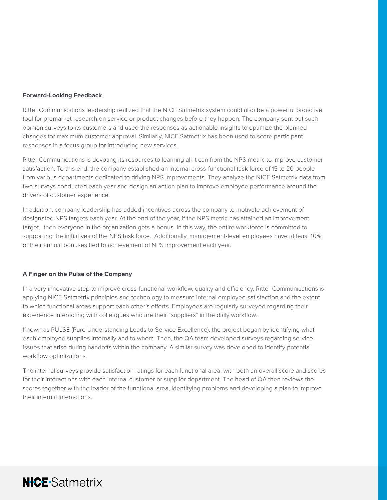#### **Forward-Looking Feedback**

Ritter Communications leadership realized that the NICE Satmetrix system could also be a powerful proactive tool for premarket research on service or product changes before they happen. The company sent out such opinion surveys to its customers and used the responses as actionable insights to optimize the planned changes for maximum customer approval. Similarly, NICE Satmetrix has been used to score participant responses in a focus group for introducing new services.

Ritter Communications is devoting its resources to learning all it can from the NPS metric to improve customer satisfaction. To this end, the company established an internal cross-functional task force of 15 to 20 people from various departments dedicated to driving NPS improvements. They analyze the NICE Satmetrix data from two surveys conducted each year and design an action plan to improve employee performance around the drivers of customer experience.

In addition, company leadership has added incentives across the company to motivate achievement of designated NPS targets each year. At the end of the year, if the NPS metric has attained an improvement target, then everyone in the organization gets a bonus. In this way, the entire workforce is committed to supporting the initiatives of the NPS task force. Additionally, management-level employees have at least 10% of their annual bonuses tied to achievement of NPS improvement each year.

#### **A Finger on the Pulse of the Company**

In a very innovative step to improve cross-functional workflow, quality and efficiency, Ritter Communications is applying NICE Satmetrix principles and technology to measure internal employee satisfaction and the extent to which functional areas support each other's efforts. Employees are regularly surveyed regarding their experience interacting with colleagues who are their "suppliers" in the daily workflow.

Known as PULSE (Pure Understanding Leads to Service Excellence), the project began by identifying what each employee supplies internally and to whom. Then, the QA team developed surveys regarding service issues that arise during handoffs within the company. A similar survey was developed to identify potential workflow optimizations.

The internal surveys provide satisfaction ratings for each functional area, with both an overall score and scores for their interactions with each internal customer or supplier department. The head of QA then reviews the scores together with the leader of the functional area, identifying problems and developing a plan to improve their internal interactions.

# **NICE-Satmetrix**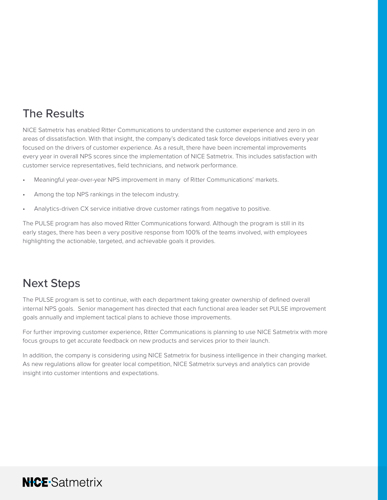# The Results

NICE Satmetrix has enabled Ritter Communications to understand the customer experience and zero in on areas of dissatisfaction. With that insight, the company's dedicated task force develops initiatives every year focused on the drivers of customer experience. As a result, there have been incremental improvements every year in overall NPS scores since the implementation of NICE Satmetrix. This includes satisfaction with customer service representatives, field technicians, and network performance.

- Meaningful year-over-year NPS improvement in many of Ritter Communications' markets.
- Among the top NPS rankings in the telecom industry.
- Analytics-driven CX service initiative drove customer ratings from negative to positive.

The PULSE program has also moved Ritter Communications forward. Although the program is still in its early stages, there has been a very positive response from 100% of the teams involved, with employees highlighting the actionable, targeted, and achievable goals it provides.

### Next Steps

The PULSE program is set to continue, with each department taking greater ownership of defined overall internal NPS goals. Senior management has directed that each functional area leader set PULSE improvement goals annually and implement tactical plans to achieve those improvements.

For further improving customer experience, Ritter Communications is planning to use NICE Satmetrix with more focus groups to get accurate feedback on new products and services prior to their launch.

In addition, the company is considering using NICE Satmetrix for business intelligence in their changing market. As new regulations allow for greater local competition, NICE Satmetrix surveys and analytics can provide insight into customer intentions and expectations.

## **NICE-Satmetrix**